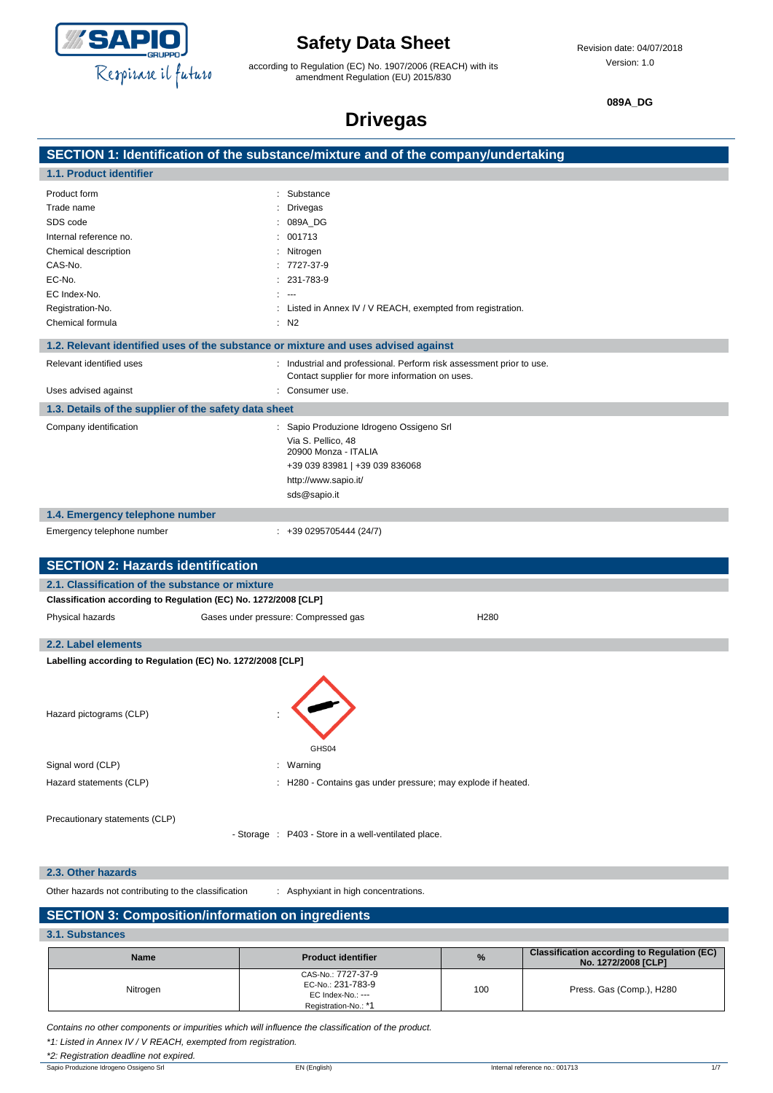

according to Regulation (EC) No. 1907/2006 (REACH) with its amendment Regulation (EU) 2015/830

**089A\_DG**

## **Drivegas**

|                                                                 | ----                                                                               |
|-----------------------------------------------------------------|------------------------------------------------------------------------------------|
|                                                                 | SECTION 1: Identification of the substance/mixture and of the company/undertaking  |
| 1.1. Product identifier                                         |                                                                                    |
| Product form                                                    | : Substance                                                                        |
| Trade name                                                      | : Drivegas                                                                         |
| SDS code                                                        | 089A_DG                                                                            |
| Internal reference no.                                          | : 001713                                                                           |
| Chemical description                                            | : Nitrogen                                                                         |
| CAS-No.                                                         | $: 7727-37-9$                                                                      |
| EC-No.                                                          | 231-783-9                                                                          |
| EC Index-No.                                                    |                                                                                    |
| Registration-No.                                                | : Listed in Annex IV / V REACH, exempted from registration.                        |
| Chemical formula                                                | $:$ N <sub>2</sub>                                                                 |
|                                                                 | 1.2. Relevant identified uses of the substance or mixture and uses advised against |
| Relevant identified uses                                        | : Industrial and professional. Perform risk assessment prior to use.               |
|                                                                 | Contact supplier for more information on uses.                                     |
| Uses advised against                                            | Consumer use.                                                                      |
| 1.3. Details of the supplier of the safety data sheet           |                                                                                    |
| Company identification                                          | : Sapio Produzione Idrogeno Ossigeno Srl                                           |
|                                                                 | Via S. Pellico, 48                                                                 |
|                                                                 | 20900 Monza - ITALIA                                                               |
|                                                                 | +39 039 83981   +39 039 836068                                                     |
|                                                                 | http://www.sapio.it/<br>sds@sapio.it                                               |
|                                                                 |                                                                                    |
| 1.4. Emergency telephone number                                 |                                                                                    |
| Emergency telephone number                                      | $\div$ +39 0295705444 (24/7)                                                       |
|                                                                 |                                                                                    |
| <b>SECTION 2: Hazards identification</b>                        |                                                                                    |
| 2.1. Classification of the substance or mixture                 |                                                                                    |
| Classification according to Regulation (EC) No. 1272/2008 [CLP] |                                                                                    |
| Physical hazards                                                | Gases under pressure: Compressed gas<br>H <sub>280</sub>                           |
| 2.2. Label elements                                             |                                                                                    |
| Labelling according to Regulation (EC) No. 1272/2008 [CLP]      |                                                                                    |
|                                                                 |                                                                                    |
|                                                                 |                                                                                    |
| Hazard pictograms (CLP)                                         |                                                                                    |
|                                                                 |                                                                                    |
|                                                                 |                                                                                    |
|                                                                 | GHS04                                                                              |
| Signal word (CLP)                                               | : Warning                                                                          |
| Hazard statements (CLP)                                         | : H280 - Contains gas under pressure; may explode if heated.                       |
|                                                                 |                                                                                    |
| Precautionary statements (CLP)                                  |                                                                                    |
|                                                                 | - Storage : P403 - Store in a well-ventilated place.                               |
|                                                                 |                                                                                    |
| 2.3. Other hazards                                              |                                                                                    |

Other hazards not contributing to the classification : Asphyxiant in high concentrations.

#### **SECTION 3: Composition/information on ingredients**

**3.1. Substances**

| <b>Name</b> | <b>Product identifier</b>                                                            | $\%$ | <b>Classification according to Regulation (EC)</b><br>No. 1272/2008 [CLP] |
|-------------|--------------------------------------------------------------------------------------|------|---------------------------------------------------------------------------|
| Nitrogen    | CAS-No.: 7727-37-9<br>EC-No.: 231-783-9<br>EC Index-No.: ---<br>Registration-No.: *1 | 100  | Press. Gas (Comp.), H280                                                  |

*Contains no other components or impurities which will influence the classification of the product.*

*\*1: Listed in Annex IV / V REACH, exempted from registration.*

*\*2: Registration deadline not expired.*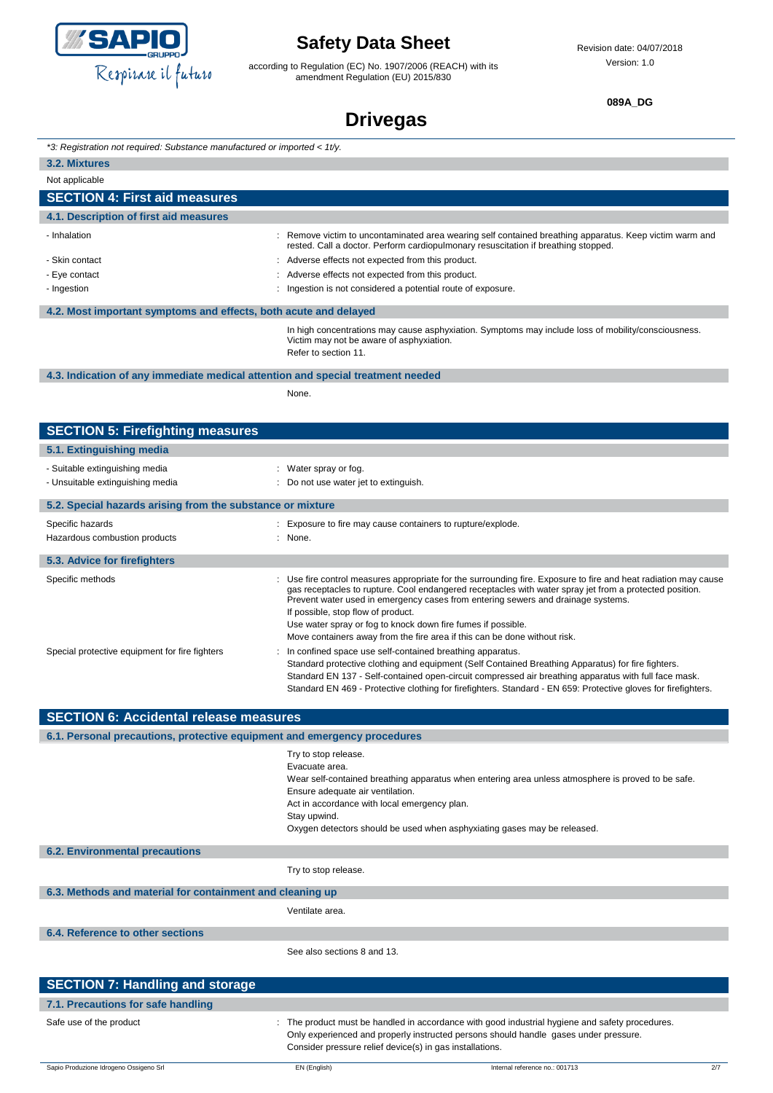

according to Regulation (EC) No. 1907/2006 (REACH) with its amendment Regulation (EU) 2015/830

Revision date: 04/07/2018 Version: 1.0

**089A\_DG**

## **Drivegas**

| *3: Registration not required: Substance manufactured or imported < 1t/y.       |                                                                                                                                                                                                                                                                                                                                                                                                                                                                                                   |
|---------------------------------------------------------------------------------|---------------------------------------------------------------------------------------------------------------------------------------------------------------------------------------------------------------------------------------------------------------------------------------------------------------------------------------------------------------------------------------------------------------------------------------------------------------------------------------------------|
| 3.2. Mixtures                                                                   |                                                                                                                                                                                                                                                                                                                                                                                                                                                                                                   |
| Not applicable                                                                  |                                                                                                                                                                                                                                                                                                                                                                                                                                                                                                   |
| <b>SECTION 4: First aid measures</b>                                            |                                                                                                                                                                                                                                                                                                                                                                                                                                                                                                   |
| 4.1. Description of first aid measures                                          |                                                                                                                                                                                                                                                                                                                                                                                                                                                                                                   |
| - Inhalation                                                                    | : Remove victim to uncontaminated area wearing self contained breathing apparatus. Keep victim warm and<br>rested. Call a doctor. Perform cardiopulmonary resuscitation if breathing stopped.                                                                                                                                                                                                                                                                                                     |
| - Skin contact                                                                  | : Adverse effects not expected from this product.                                                                                                                                                                                                                                                                                                                                                                                                                                                 |
| - Eye contact                                                                   | Adverse effects not expected from this product.                                                                                                                                                                                                                                                                                                                                                                                                                                                   |
| - Ingestion                                                                     | Ingestion is not considered a potential route of exposure.                                                                                                                                                                                                                                                                                                                                                                                                                                        |
| 4.2. Most important symptoms and effects, both acute and delayed                |                                                                                                                                                                                                                                                                                                                                                                                                                                                                                                   |
|                                                                                 | In high concentrations may cause asphyxiation. Symptoms may include loss of mobility/consciousness.<br>Victim may not be aware of asphyxiation.<br>Refer to section 11.                                                                                                                                                                                                                                                                                                                           |
| 4.3. Indication of any immediate medical attention and special treatment needed |                                                                                                                                                                                                                                                                                                                                                                                                                                                                                                   |
|                                                                                 | None.                                                                                                                                                                                                                                                                                                                                                                                                                                                                                             |
|                                                                                 |                                                                                                                                                                                                                                                                                                                                                                                                                                                                                                   |
| <b>SECTION 5: Firefighting measures</b>                                         |                                                                                                                                                                                                                                                                                                                                                                                                                                                                                                   |
| 5.1. Extinguishing media                                                        |                                                                                                                                                                                                                                                                                                                                                                                                                                                                                                   |
| - Suitable extinguishing media                                                  | : Water spray or fog.                                                                                                                                                                                                                                                                                                                                                                                                                                                                             |
| - Unsuitable extinguishing media                                                | : Do not use water jet to extinguish.                                                                                                                                                                                                                                                                                                                                                                                                                                                             |
|                                                                                 |                                                                                                                                                                                                                                                                                                                                                                                                                                                                                                   |
| 5.2. Special hazards arising from the substance or mixture                      |                                                                                                                                                                                                                                                                                                                                                                                                                                                                                                   |
| Specific hazards                                                                | : Exposure to fire may cause containers to rupture/explode.                                                                                                                                                                                                                                                                                                                                                                                                                                       |
| Hazardous combustion products                                                   | : None.                                                                                                                                                                                                                                                                                                                                                                                                                                                                                           |
| 5.3. Advice for firefighters                                                    |                                                                                                                                                                                                                                                                                                                                                                                                                                                                                                   |
| Specific methods                                                                | : Use fire control measures appropriate for the surrounding fire. Exposure to fire and heat radiation may cause<br>gas receptacles to rupture. Cool endangered receptacles with water spray jet from a protected position.<br>Prevent water used in emergency cases from entering sewers and drainage systems.<br>If possible, stop flow of product.<br>Use water spray or fog to knock down fire fumes if possible.<br>Move containers away from the fire area if this can be done without risk. |
| Special protective equipment for fire fighters                                  | In confined space use self-contained breathing apparatus.<br>Standard protective clothing and equipment (Self Contained Breathing Apparatus) for fire fighters.<br>Standard EN 137 - Self-contained open-circuit compressed air breathing apparatus with full face mask.<br>Standard EN 469 - Protective clothing for firefighters. Standard - EN 659: Protective gloves for firefighters.                                                                                                        |
| <b>SECTION 6: Accidental release measures</b>                                   |                                                                                                                                                                                                                                                                                                                                                                                                                                                                                                   |
| 6.1. Personal precautions, protective equipment and emergency procedures        |                                                                                                                                                                                                                                                                                                                                                                                                                                                                                                   |
|                                                                                 | Try to stop release.                                                                                                                                                                                                                                                                                                                                                                                                                                                                              |
|                                                                                 | Evacuate area.<br>Wear self-contained breathing apparatus when entering area unless atmosphere is proved to be safe.<br>Ensure adequate air ventilation.<br>Act in accordance with local emergency plan.<br>Stay upwind.<br>Oxygen detectors should be used when asphyxiating gases may be released.                                                                                                                                                                                              |
| <b>6.2. Environmental precautions</b>                                           |                                                                                                                                                                                                                                                                                                                                                                                                                                                                                                   |
|                                                                                 | Try to stop release.                                                                                                                                                                                                                                                                                                                                                                                                                                                                              |
| 6.3. Methods and material for containment and cleaning up                       |                                                                                                                                                                                                                                                                                                                                                                                                                                                                                                   |

See also sections 8 and 13.

| SECTION 7: Handling and storage    |                                                                                                                                                                                                                                                     |
|------------------------------------|-----------------------------------------------------------------------------------------------------------------------------------------------------------------------------------------------------------------------------------------------------|
| 7.1. Precautions for safe handling |                                                                                                                                                                                                                                                     |
| Safe use of the product            | : The product must be handled in accordance with good industrial hygiene and safety procedures.<br>Only experienced and properly instructed persons should handle gases under pressure.<br>Consider pressure relief device(s) in gas installations. |

Ventilate area.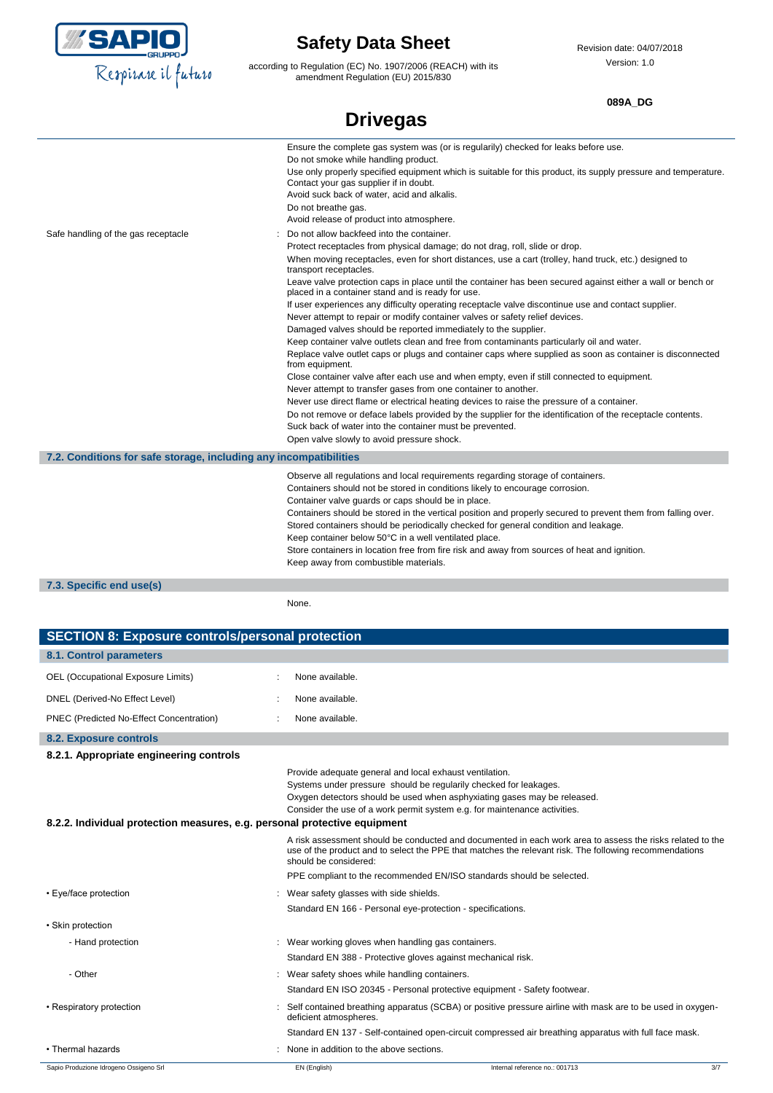

according to Regulation (EC) No. 1907/2006 (REACH) with its amendment Regulation (EU) 2015/830

#### **089A\_DG**

|                                                                   | <b>Drivegas</b>                                                                                                                                                                                                                                                                                                                                                                                                                                                                                                                                                                                                                                                                                                                                                                                                                                                                                                                                                                                                                                                                                                                                                                                                                                                                                                                                                                                             |
|-------------------------------------------------------------------|-------------------------------------------------------------------------------------------------------------------------------------------------------------------------------------------------------------------------------------------------------------------------------------------------------------------------------------------------------------------------------------------------------------------------------------------------------------------------------------------------------------------------------------------------------------------------------------------------------------------------------------------------------------------------------------------------------------------------------------------------------------------------------------------------------------------------------------------------------------------------------------------------------------------------------------------------------------------------------------------------------------------------------------------------------------------------------------------------------------------------------------------------------------------------------------------------------------------------------------------------------------------------------------------------------------------------------------------------------------------------------------------------------------|
|                                                                   | Ensure the complete gas system was (or is regularily) checked for leaks before use.<br>Do not smoke while handling product.<br>Use only properly specified equipment which is suitable for this product, its supply pressure and temperature.<br>Contact your gas supplier if in doubt.<br>Avoid suck back of water, acid and alkalis.<br>Do not breathe gas.<br>Avoid release of product into atmosphere.                                                                                                                                                                                                                                                                                                                                                                                                                                                                                                                                                                                                                                                                                                                                                                                                                                                                                                                                                                                                  |
| Safe handling of the gas receptacle                               | Do not allow backfeed into the container.<br>Protect receptacles from physical damage; do not drag, roll, slide or drop.<br>When moving receptacles, even for short distances, use a cart (trolley, hand truck, etc.) designed to<br>transport receptacles.<br>Leave valve protection caps in place until the container has been secured against either a wall or bench or<br>placed in a container stand and is ready for use.<br>If user experiences any difficulty operating receptacle valve discontinue use and contact supplier.<br>Never attempt to repair or modify container valves or safety relief devices.<br>Damaged valves should be reported immediately to the supplier.<br>Keep container valve outlets clean and free from contaminants particularly oil and water.<br>Replace valve outlet caps or plugs and container caps where supplied as soon as container is disconnected<br>from equipment.<br>Close container valve after each use and when empty, even if still connected to equipment.<br>Never attempt to transfer gases from one container to another.<br>Never use direct flame or electrical heating devices to raise the pressure of a container.<br>Do not remove or deface labels provided by the supplier for the identification of the receptacle contents.<br>Suck back of water into the container must be prevented.<br>Open valve slowly to avoid pressure shock. |
| 7.2. Conditions for safe storage, including any incompatibilities |                                                                                                                                                                                                                                                                                                                                                                                                                                                                                                                                                                                                                                                                                                                                                                                                                                                                                                                                                                                                                                                                                                                                                                                                                                                                                                                                                                                                             |
|                                                                   | Observe all regulations and local requirements regarding storage of containers.<br>Containers should not be stored in conditions likely to encourage corrosion.<br>Container valve guards or caps should be in place.<br>Containers should be stored in the vertical position and properly secured to prevent them from falling over.<br>Stored containers should be periodically checked for general condition and leakage.<br>Keep container below 50°C in a well ventilated place.<br>Store containers in location free from fire risk and away from sources of heat and ignition.<br>Keep away from combustible materials.                                                                                                                                                                                                                                                                                                                                                                                                                                                                                                                                                                                                                                                                                                                                                                              |
| 7.3. Specific end use(s)                                          |                                                                                                                                                                                                                                                                                                                                                                                                                                                                                                                                                                                                                                                                                                                                                                                                                                                                                                                                                                                                                                                                                                                                                                                                                                                                                                                                                                                                             |

None.

| <b>SECTION 8: Exposure controls/personal protection</b>                   |                                                     |                                                                                                                                                                                                                                                                                       |     |
|---------------------------------------------------------------------------|-----------------------------------------------------|---------------------------------------------------------------------------------------------------------------------------------------------------------------------------------------------------------------------------------------------------------------------------------------|-----|
| 8.1. Control parameters                                                   |                                                     |                                                                                                                                                                                                                                                                                       |     |
| OEL (Occupational Exposure Limits)                                        | None available.                                     |                                                                                                                                                                                                                                                                                       |     |
| DNEL (Derived-No Effect Level)                                            | None available.                                     |                                                                                                                                                                                                                                                                                       |     |
| PNEC (Predicted No-Effect Concentration)                                  | None available.                                     |                                                                                                                                                                                                                                                                                       |     |
| 8.2. Exposure controls                                                    |                                                     |                                                                                                                                                                                                                                                                                       |     |
| 8.2.1. Appropriate engineering controls                                   |                                                     |                                                                                                                                                                                                                                                                                       |     |
|                                                                           |                                                     | Provide adequate general and local exhaust ventilation.<br>Systems under pressure should be regularily checked for leakages.<br>Oxygen detectors should be used when asphyxiating gases may be released.<br>Consider the use of a work permit system e.g. for maintenance activities. |     |
| 8.2.2. Individual protection measures, e.g. personal protective equipment |                                                     |                                                                                                                                                                                                                                                                                       |     |
|                                                                           | should be considered:                               | A risk assessment should be conducted and documented in each work area to assess the risks related to the<br>use of the product and to select the PPE that matches the relevant risk. The following recommendations                                                                   |     |
|                                                                           |                                                     | PPE compliant to the recommended EN/ISO standards should be selected.                                                                                                                                                                                                                 |     |
| • Eye/face protection                                                     | Wear safety glasses with side shields.              |                                                                                                                                                                                                                                                                                       |     |
|                                                                           |                                                     | Standard EN 166 - Personal eye-protection - specifications.                                                                                                                                                                                                                           |     |
| • Skin protection                                                         |                                                     |                                                                                                                                                                                                                                                                                       |     |
| - Hand protection                                                         | : Wear working gloves when handling gas containers. |                                                                                                                                                                                                                                                                                       |     |
|                                                                           |                                                     | Standard EN 388 - Protective gloves against mechanical risk.                                                                                                                                                                                                                          |     |
| - Other                                                                   | : Wear safety shoes while handling containers.      |                                                                                                                                                                                                                                                                                       |     |
|                                                                           |                                                     | Standard EN ISO 20345 - Personal protective equipment - Safety footwear.                                                                                                                                                                                                              |     |
| • Respiratory protection                                                  | deficient atmospheres.                              | Self contained breathing apparatus (SCBA) or positive pressure airline with mask are to be used in oxygen-                                                                                                                                                                            |     |
|                                                                           |                                                     | Standard EN 137 - Self-contained open-circuit compressed air breathing apparatus with full face mask.                                                                                                                                                                                 |     |
| • Thermal hazards                                                         | : None in addition to the above sections.           |                                                                                                                                                                                                                                                                                       |     |
| Sapio Produzione Idrogeno Ossigeno Srl                                    | EN (English)                                        | Internal reference no.: 001713                                                                                                                                                                                                                                                        | 3/7 |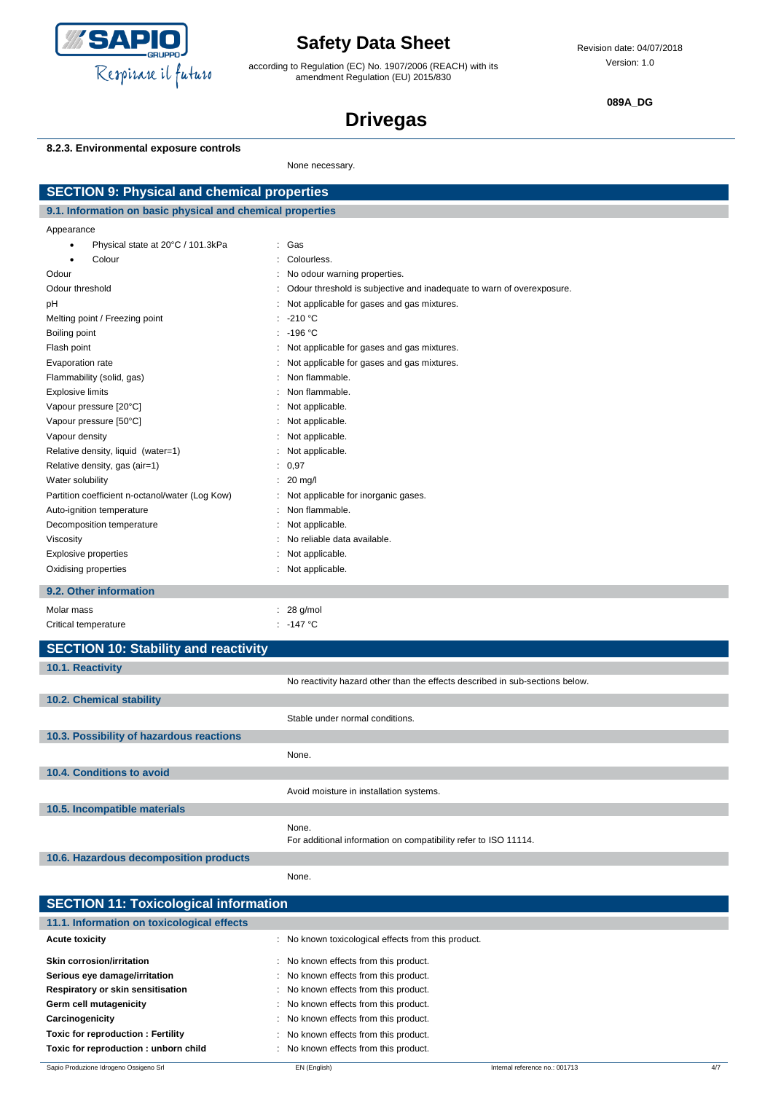

according to Regulation (EC) No. 1907/2006 (REACH) with its amendment Regulation (EU) 2015/830

**089A\_DG**

# **Drivegas**

#### **8.2.3. Environmental exposure controls**

None necessary.

| <b>SECTION 9: Physical and chemical properties</b>         |                                                                              |  |  |  |
|------------------------------------------------------------|------------------------------------------------------------------------------|--|--|--|
| 9.1. Information on basic physical and chemical properties |                                                                              |  |  |  |
| Appearance                                                 |                                                                              |  |  |  |
| Physical state at 20°C / 101.3kPa<br>٠                     | : Gas                                                                        |  |  |  |
| Colour                                                     | : Colourless.                                                                |  |  |  |
| Odour                                                      | : No odour warning properties.                                               |  |  |  |
| Odour threshold                                            | Odour threshold is subjective and inadequate to warn of overexposure.        |  |  |  |
| pH                                                         | : Not applicable for gases and gas mixtures.                                 |  |  |  |
| Melting point / Freezing point                             | $: -210 °C$                                                                  |  |  |  |
| Boiling point                                              | $: -196 °C$                                                                  |  |  |  |
| Flash point                                                | : Not applicable for gases and gas mixtures.                                 |  |  |  |
| Evaporation rate                                           | : Not applicable for gases and gas mixtures.                                 |  |  |  |
| Flammability (solid, gas)                                  | Non flammable.<br>÷                                                          |  |  |  |
| <b>Explosive limits</b>                                    | : Non flammable.                                                             |  |  |  |
| Vapour pressure [20°C]                                     | : Not applicable.                                                            |  |  |  |
| Vapour pressure [50°C]                                     | : Not applicable.                                                            |  |  |  |
| Vapour density                                             | : Not applicable.                                                            |  |  |  |
| Relative density, liquid (water=1)                         | : Not applicable.                                                            |  |  |  |
| Relative density, gas (air=1)                              | : 0,97                                                                       |  |  |  |
| Water solubility                                           | $: 20 \text{ mq/l}$                                                          |  |  |  |
| Partition coefficient n-octanol/water (Log Kow)            | : Not applicable for inorganic gases.                                        |  |  |  |
| Auto-ignition temperature                                  | Non flammable.                                                               |  |  |  |
| Decomposition temperature                                  | Not applicable.                                                              |  |  |  |
| Viscosity                                                  | No reliable data available.                                                  |  |  |  |
| <b>Explosive properties</b>                                | : Not applicable.                                                            |  |  |  |
| Oxidising properties                                       | : Not applicable.                                                            |  |  |  |
| 9.2. Other information                                     |                                                                              |  |  |  |
| Molar mass                                                 | $: 28$ g/mol                                                                 |  |  |  |
| Critical temperature                                       | : $-147^{\circ}$ C                                                           |  |  |  |
| <b>SECTION 10: Stability and reactivity</b>                |                                                                              |  |  |  |
| 10.1. Reactivity                                           |                                                                              |  |  |  |
|                                                            | No reactivity hazard other than the effects described in sub-sections below. |  |  |  |
| 10.2. Chemical stability                                   |                                                                              |  |  |  |
|                                                            | Stable under normal conditions.                                              |  |  |  |
| 10.3. Possibility of hazardous reactions                   |                                                                              |  |  |  |
|                                                            | None.                                                                        |  |  |  |
| 10.4. Conditions to avoid                                  |                                                                              |  |  |  |
|                                                            | Avoid moisture in installation systems.                                      |  |  |  |
| 10.5. Incompatible materials                               |                                                                              |  |  |  |
|                                                            |                                                                              |  |  |  |
|                                                            | None.<br>For additional information on compatibility refer to ISO 11114.     |  |  |  |
| 10.6. Hazardous decomposition products                     |                                                                              |  |  |  |
|                                                            | None.                                                                        |  |  |  |
| <b>SECTION 11: Toxicological information</b>               |                                                                              |  |  |  |
| 11.1. Information on toxicological effects                 |                                                                              |  |  |  |
| <b>Acute toxicity</b>                                      | : No known toxicological effects from this product.                          |  |  |  |

Skin corrosion/irritation **Skin corrosion/irritation** : No known effects from this product. Serious eye damage/irritation **Serious example 20** : No known effects from this product. **Respiratory or skin sensitisation** : No known effects from this product. Germ cell mutagenicity **Germ cell mutagenicity contains the contains to the contains of the contains of the contains of the contains of the contains of the contains of the contains of the contains of the contains of the Carcinogenicity Carcinogenicity Carcinogenicity Carcinogenicity Carcinogenicity Carcinogenicity C Toxic for reproduction : Fertility** : No known effects from this product. **Toxic for reproduction : unborn child** : No known effects from this product.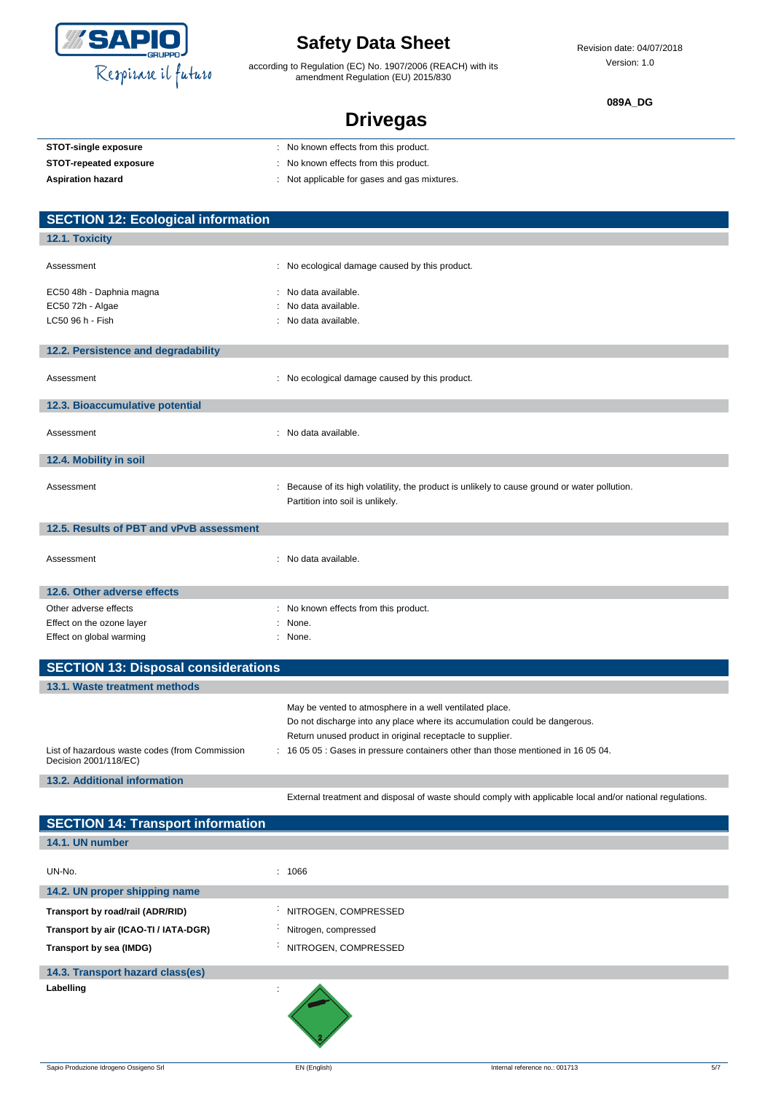

according to Regulation (EC) No. 1907/2006 (REACH) with its amendment Regulation (EU) 2015/830

Revision date: 04/07/2018 Version: 1.0

**089A\_DG**

| <b>Drivegas</b> |
|-----------------|
|-----------------|

| <b>STOT-single exposure</b>                                             | No known effects from this product.                                                                                                                                                                |
|-------------------------------------------------------------------------|----------------------------------------------------------------------------------------------------------------------------------------------------------------------------------------------------|
| <b>STOT-repeated exposure</b>                                           | No known effects from this product.                                                                                                                                                                |
| <b>Aspiration hazard</b>                                                | : Not applicable for gases and gas mixtures.                                                                                                                                                       |
|                                                                         |                                                                                                                                                                                                    |
| <b>SECTION 12: Ecological information</b>                               |                                                                                                                                                                                                    |
| 12.1. Toxicity                                                          |                                                                                                                                                                                                    |
|                                                                         |                                                                                                                                                                                                    |
| Assessment                                                              | : No ecological damage caused by this product.                                                                                                                                                     |
| EC50 48h - Daphnia magna                                                | : No data available.                                                                                                                                                                               |
| EC50 72h - Algae                                                        | No data available.                                                                                                                                                                                 |
| LC50 96 h - Fish                                                        | No data available.                                                                                                                                                                                 |
|                                                                         |                                                                                                                                                                                                    |
| 12.2. Persistence and degradability                                     |                                                                                                                                                                                                    |
| Assessment                                                              | : No ecological damage caused by this product.                                                                                                                                                     |
|                                                                         |                                                                                                                                                                                                    |
| 12.3. Bioaccumulative potential                                         |                                                                                                                                                                                                    |
| Assessment                                                              | : No data available.                                                                                                                                                                               |
| 12.4. Mobility in soil                                                  |                                                                                                                                                                                                    |
| Assessment                                                              | Because of its high volatility, the product is unlikely to cause ground or water pollution.<br>Partition into soil is unlikely.                                                                    |
| 12.5. Results of PBT and vPvB assessment                                |                                                                                                                                                                                                    |
| Assessment                                                              | : No data available.                                                                                                                                                                               |
| 12.6. Other adverse effects                                             |                                                                                                                                                                                                    |
| Other adverse effects                                                   | No known effects from this product.                                                                                                                                                                |
| Effect on the ozone layer                                               | : None.                                                                                                                                                                                            |
| Effect on global warming                                                | : None.                                                                                                                                                                                            |
| <b>SECTION 13: Disposal considerations</b>                              |                                                                                                                                                                                                    |
| 13.1. Waste treatment methods                                           |                                                                                                                                                                                                    |
|                                                                         | May be vented to atmosphere in a well ventilated place.<br>Do not discharge into any place where its accumulation could be dangerous.<br>Return unused product in original receptacle to supplier. |
| List of hazardous waste codes (from Commission<br>Decision 2001/118/EC) | : 16 05 05 : Gases in pressure containers other than those mentioned in 16 05 04.                                                                                                                  |
| 13.2. Additional information                                            |                                                                                                                                                                                                    |

Sapio Produzione Idrogeno Ossigeno Srl **EN (English)** EN (English) Internal reference no.: 001713 5/7 **SECTION 14: Transport information 14.1. UN number** UN-No. : 1066 **14.2. UN proper shipping name Transport by road/rail (ADR/RID)** : NITROGEN, COMPRESSED **Transport by air (ICAO-TI / IATA-DGR)** : Nitrogen, compressed **Transport by sea (IMDG)** Transport by sea (IMDG) **14.3. Transport hazard class(es) Labelling** :

External treatment and disposal of waste should comply with applicable local and/or national regulations.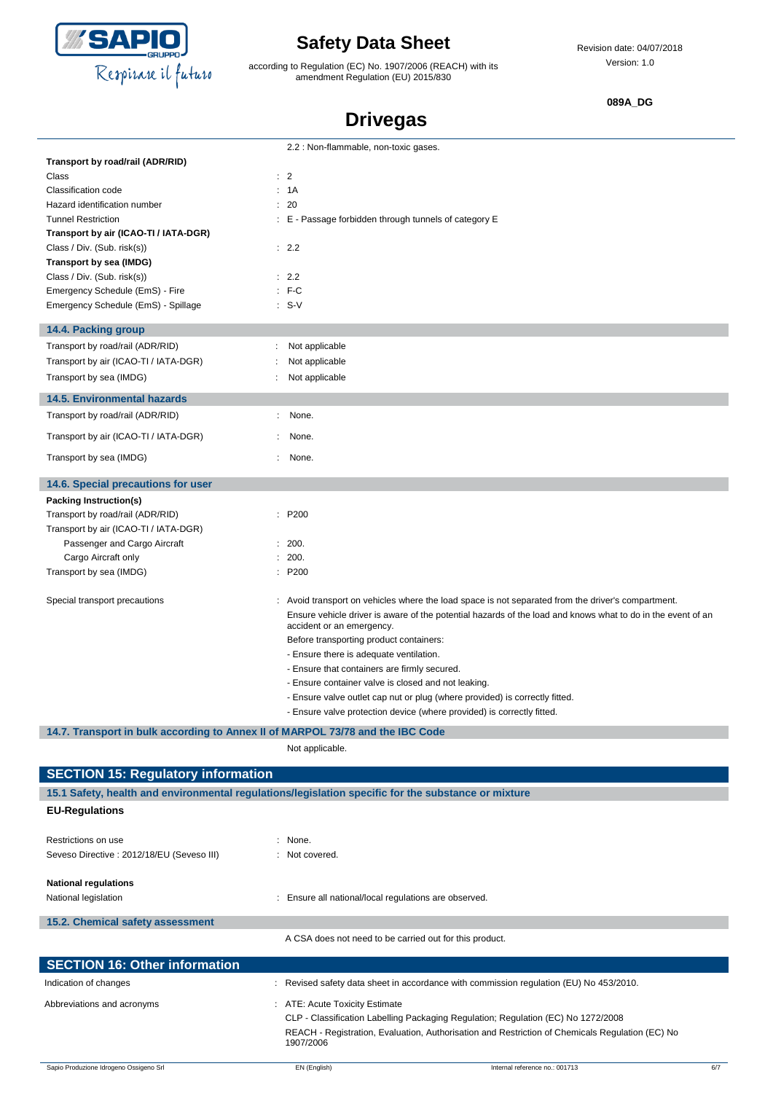

according to Regulation (EC) No. 1907/2006 (REACH) with its amendment Regulation (EU) 2015/830

Revision date: 04/07/2018 Version: 1.0

**089A\_DG**

# **Drivegas**

|                                       | 2.2 : Non-flammable, non-toxic gases.                                                                                                    |
|---------------------------------------|------------------------------------------------------------------------------------------------------------------------------------------|
| Transport by road/rail (ADR/RID)      |                                                                                                                                          |
| Class                                 | : 2                                                                                                                                      |
| Classification code                   | : 1A                                                                                                                                     |
| Hazard identification number          | : 20                                                                                                                                     |
| <b>Tunnel Restriction</b>             | : E - Passage forbidden through tunnels of category E                                                                                    |
| Transport by air (ICAO-TI / IATA-DGR) |                                                                                                                                          |
| Class / Div. (Sub. risk(s))           | : 2.2                                                                                                                                    |
| Transport by sea (IMDG)               |                                                                                                                                          |
| Class / Div. (Sub. risk(s))           | $\therefore$ 2.2                                                                                                                         |
| Emergency Schedule (EmS) - Fire       | $: F-C$                                                                                                                                  |
| Emergency Schedule (EmS) - Spillage   | $: S-V$                                                                                                                                  |
| 14.4. Packing group                   |                                                                                                                                          |
| Transport by road/rail (ADR/RID)      | Not applicable<br>÷                                                                                                                      |
| Transport by air (ICAO-TI / IATA-DGR) | Not applicable                                                                                                                           |
| Transport by sea (IMDG)               | Not applicable                                                                                                                           |
| <b>14.5. Environmental hazards</b>    |                                                                                                                                          |
| Transport by road/rail (ADR/RID)      | None.<br>÷.                                                                                                                              |
| Transport by air (ICAO-TI / IATA-DGR) | None.                                                                                                                                    |
| Transport by sea (IMDG)               | None.<br>÷.                                                                                                                              |
|                                       |                                                                                                                                          |
| 14.6. Special precautions for user    |                                                                                                                                          |
| Packing Instruction(s)                |                                                                                                                                          |
| Transport by road/rail (ADR/RID)      | : P200                                                                                                                                   |
| Transport by air (ICAO-TI / IATA-DGR) |                                                                                                                                          |
| Passenger and Cargo Aircraft          | : 200.                                                                                                                                   |
| Cargo Aircraft only                   | 200.                                                                                                                                     |
| Transport by sea (IMDG)               | : P200                                                                                                                                   |
| Special transport precautions         | : Avoid transport on vehicles where the load space is not separated from the driver's compartment.                                       |
|                                       | Ensure vehicle driver is aware of the potential hazards of the load and knows what to do in the event of an<br>accident or an emergency. |
|                                       | Before transporting product containers:                                                                                                  |
|                                       | - Ensure there is adequate ventilation.                                                                                                  |
|                                       | - Ensure that containers are firmly secured.                                                                                             |
|                                       | - Ensure container valve is closed and not leaking.                                                                                      |
|                                       | - Ensure valve outlet cap nut or plug (where provided) is correctly fitted.                                                              |
|                                       | - Ensure valve protection device (where provided) is correctly fitted.                                                                   |

**14.7. Transport in bulk according to Annex II of MARPOL 73/78 and the IBC Code**

Not applicable.

| <b>SECTION 15: Regulatory information</b>  |                                                                                                     |                                                                                                 |     |  |
|--------------------------------------------|-----------------------------------------------------------------------------------------------------|-------------------------------------------------------------------------------------------------|-----|--|
|                                            | 15.1 Safety, health and environmental regulations/legislation specific for the substance or mixture |                                                                                                 |     |  |
| <b>EU-Regulations</b>                      |                                                                                                     |                                                                                                 |     |  |
|                                            |                                                                                                     |                                                                                                 |     |  |
| Restrictions on use                        | $:$ None.                                                                                           |                                                                                                 |     |  |
| Seveso Directive : 2012/18/EU (Seveso III) | : Not covered.                                                                                      |                                                                                                 |     |  |
| <b>National regulations</b>                |                                                                                                     |                                                                                                 |     |  |
| National legislation                       |                                                                                                     | Ensure all national/local regulations are observed.                                             |     |  |
| 15.2. Chemical safety assessment           |                                                                                                     |                                                                                                 |     |  |
|                                            |                                                                                                     | A CSA does not need to be carried out for this product.                                         |     |  |
| <b>SECTION 16: Other information</b>       |                                                                                                     |                                                                                                 |     |  |
|                                            |                                                                                                     |                                                                                                 |     |  |
| Indication of changes                      |                                                                                                     | Revised safety data sheet in accordance with commission regulation (EU) No 453/2010.            |     |  |
| Abbreviations and acronyms                 | : ATE: Acute Toxicity Estimate                                                                      |                                                                                                 |     |  |
|                                            |                                                                                                     | CLP - Classification Labelling Packaging Regulation; Regulation (EC) No 1272/2008               |     |  |
|                                            | 1907/2006                                                                                           | REACH - Registration, Evaluation, Authorisation and Restriction of Chemicals Regulation (EC) No |     |  |
| Sapio Produzione Idrogeno Ossigeno Srl     | EN (English)                                                                                        | Internal reference no.: 001713                                                                  | 6/7 |  |